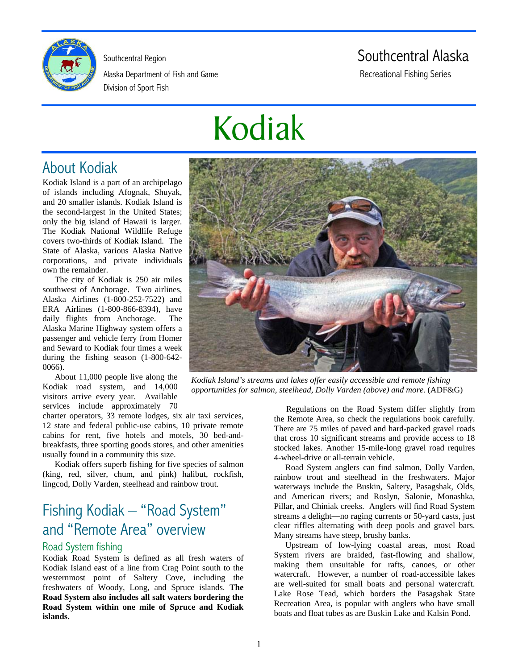

Alaska Department of Fish and Game Recreational Fishing Series Division of Sport Fish

# Southcentral Region Southcentral Alaska

# Kodiak

# About Kodiak

Kodiak Island is a part of an archipelago of islands including Afognak, Shuyak, and 20 smaller islands. Kodiak Island is the second-largest in the United States; only the big island of Hawaii is larger. The Kodiak National Wildlife Refuge covers two-thirds of Kodiak Island. The State of Alaska, various Alaska Native corporations, and private individuals own the remainder.

The city of Kodiak is 250 air miles southwest of Anchorage. Two airlines, Alaska Airlines (1-800-252-7522) and ERA Airlines (1-800-866-8394), have daily flights from Anchorage. The Alaska Marine Highway system offers a passenger and vehicle ferry from Homer and Seward to Kodiak four times a week during the fishing season (1-800-642- 0066).

About 11,000 people live along the Kodiak road system, and 14,000 visitors arrive every year. Available services include approximately 70

charter operators, 33 remote lodges, six air taxi services, 12 state and federal public-use cabins, 10 private remote cabins for rent, five hotels and motels, 30 bed-andbreakfasts, three sporting goods stores, and other amenities usually found in a community this size.

Kodiak offers superb fishing for five species of salmon (king, red, silver, chum, and pink) halibut, rockfish, lingcod, Dolly Varden, steelhead and rainbow trout.

# Fishing Kodiak – "Road System" and "Remote Area" overview

## Road System fishing

Kodiak Road System is defined as all fresh waters of Kodiak Island east of a line from Crag Point south to the westernmost point of Saltery Cove, including the freshwaters of Woody, Long, and Spruce islands. **The Road System also includes all salt waters bordering the Road System within one mile of Spruce and Kodiak islands.**



*Kodiak Island's streams and lakes offer easily accessible and remote fishing opportunities for salmon, steelhead, Dolly Varden (above) and more.* (ADF&G)

Regulations on the Road System differ slightly from the Remote Area, so check the regulations book carefully. There are 75 miles of paved and hard-packed gravel roads that cross 10 significant streams and provide access to 18 stocked lakes. Another 15-mile-long gravel road requires 4-wheel-drive or all-terrain vehicle.

Road System anglers can find salmon, Dolly Varden, rainbow trout and steelhead in the freshwaters. Major waterways include the Buskin, Saltery, Pasagshak, Olds, and American rivers; and Roslyn, Salonie, Monashka, Pillar, and Chiniak creeks. Anglers will find Road System streams a delight—no raging currents or 50-yard casts, just clear riffles alternating with deep pools and gravel bars. Many streams have steep, brushy banks.

Upstream of low-lying coastal areas, most Road System rivers are braided, fast-flowing and shallow, making them unsuitable for rafts, canoes, or other watercraft. However, a number of road-accessible lakes are well-suited for small boats and personal watercraft. Lake Rose Tead, which borders the Pasagshak State Recreation Area, is popular with anglers who have small boats and float tubes as are Buskin Lake and Kalsin Pond.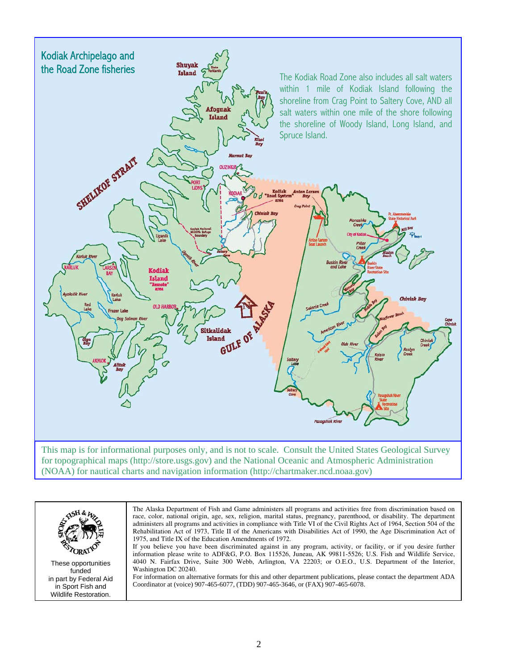

(NOAA) for nautical charts and navigation information (http://chartmaker.ncd.noaa.gov)

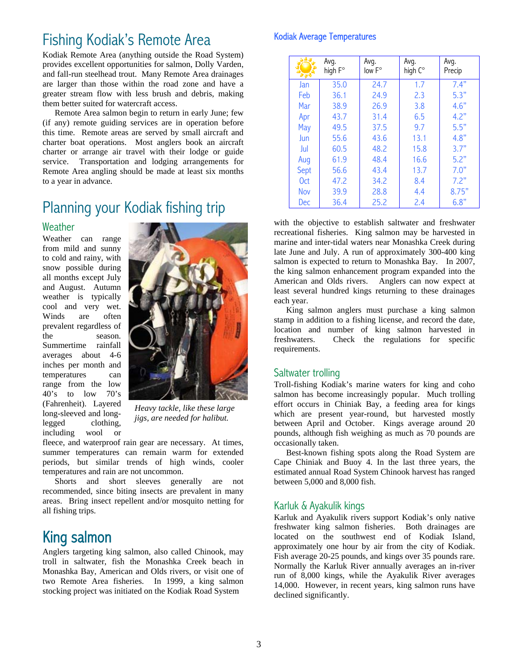# Fishing Kodiak's Remote Area

Kodiak Remote Area (anything outside the Road System) provides excellent opportunities for salmon, Dolly Varden, and fall-run steelhead trout. Many Remote Area drainages are larger than those within the road zone and have a greater stream flow with less brush and debris, making them better suited for watercraft access.

Remote Area salmon begin to return in early June; few (if any) remote guiding services are in operation before this time. Remote areas are served by small aircraft and charter boat operations. Most anglers book an aircraft charter or arrange air travel with their lodge or guide service. Transportation and lodging arrangements for Remote Area angling should be made at least six months to a year in advance.

# Planning your Kodiak fishing trip

#### Weather

Weather can range from mild and sunny to cold and rainy, with snow possible during all months except July and August. Autumn weather is typically cool and very wet. Winds are often prevalent regardless of the season. Summertime rainfall averages about 4-6 inches per month and temperatures can range from the low 40's to low 70's (Fahrenheit). Layered long-sleeved and longlegged clothing, including wool or



*Heavy tackle, like these large jigs, are needed for halibut.* 

fleece, and waterproof rain gear are necessary. At times, summer temperatures can remain warm for extended periods, but similar trends of high winds, cooler temperatures and rain are not uncommon.

Shorts and short sleeves generally are not recommended, since biting insects are prevalent in many areas. Bring insect repellent and/or mosquito netting for all fishing trips.

# King salmon

Anglers targeting king salmon, also called Chinook, may troll in saltwater, fish the Monashka Creek beach in Monashka Bay, American and Olds rivers, or visit one of two Remote Area fisheries. In 1999, a king salmon stocking project was initiated on the Kodiak Road System

#### Kodiak Average Temperatures

|                 | Avq.<br>high F° | Avq.<br>low F° | Avg.<br>high C° | Avg.<br>Precip |
|-----------------|-----------------|----------------|-----------------|----------------|
| Jan             | 35.0            | 24.7           | 1.7             | 7.4"           |
| Feb             | 36.1            | 24.9           | 2.3             | 5.3"           |
| Mar             | 38.9            | 26.9           | 3.8             | 4.6"           |
| Apr             | 43.7            | 31.4           | 6.5             | 4.2"           |
| May             | 49.5            | 37.5           | 9.7             | 5.5"           |
| Jun             | 55.6            | 43.6           | 13.1            | 4.8"           |
| Jul             | 60.5            | 48.2           | 15.8            | 3.7"           |
| Aug             | 61.9            | 48.4           | 16.6            | 5.2"           |
| Sept            | 56.6            | 43.4           | 13.7            | 7.0"           |
| 0 <sub>ct</sub> | 47.2            | 34.2           | 8.4             | 7.2"           |
| Nov             | 39.9            | 28.8           | 4.4             | 8.75"          |
| Dec             | 36.4            | 25.2           | 2.4             | 6.8"           |

with the objective to establish saltwater and freshwater recreational fisheries. King salmon may be harvested in marine and inter-tidal waters near Monashka Creek during late June and July. A run of approximately 300-400 king salmon is expected to return to Monashka Bay. In 2007, the king salmon enhancement program expanded into the American and Olds rivers. Anglers can now expect at least several hundred kings returning to these drainages each year.

King salmon anglers must purchase a king salmon stamp in addition to a fishing license, and record the date, location and number of king salmon harvested in freshwaters. Check the regulations for specific requirements.

## Saltwater trolling

Troll-fishing Kodiak's marine waters for king and coho salmon has become increasingly popular. Much trolling effort occurs in Chiniak Bay, a feeding area for kings which are present year-round, but harvested mostly between April and October. Kings average around 20 pounds, although fish weighing as much as 70 pounds are occasionally taken.

Best-known fishing spots along the Road System are Cape Chiniak and Buoy 4. In the last three years, the estimated annual Road System Chinook harvest has ranged between 5,000 and 8,000 fish.

## Karluk & Ayakulik kings

Karluk and Ayakulik rivers support Kodiak's only native freshwater king salmon fisheries. Both drainages are located on the southwest end of Kodiak Island, approximately one hour by air from the city of Kodiak. Fish average 20-25 pounds, and kings over 35 pounds rare. Normally the Karluk River annually averages an in-river run of 8,000 kings, while the Ayakulik River averages 14,000. However, in recent years, king salmon runs have declined significantly.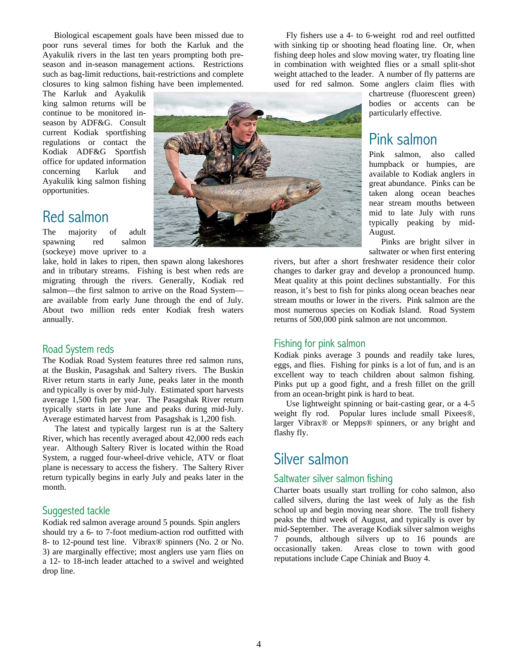Biological escapement goals have been missed due to poor runs several times for both the Karluk and the Ayakulik rivers in the last ten years prompting both preseason and in-season management actions. Restrictions such as bag-limit reductions, bait-restrictions and complete closures to king salmon fishing have been implemented.

The Karluk and Ayakulik king salmon returns will be continue to be monitored inseason by ADF&G. Consult current Kodiak sportfishing regulations or contact the Kodiak ADF&G Sportfish office for updated information concerning Karluk and Ayakulik king salmon fishing opportunities.

## Red salmon

The majority of adult spawning red salmon (sockeye) move upriver to a

lake, hold in lakes to ripen, then spawn along lakeshores and in tributary streams. Fishing is best when reds are migrating through the rivers. Generally, Kodiak red salmon—the first salmon to arrive on the Road System are available from early June through the end of July. About two million reds enter Kodiak fresh waters annually.

## Road System reds

The Kodiak Road System features three red salmon runs, at the Buskin, Pasagshak and Saltery rivers. The Buskin River return starts in early June, peaks later in the month and typically is over by mid-July. Estimated sport harvests average 1,500 fish per year. The Pasagshak River return typically starts in late June and peaks during mid-July. Average estimated harvest from Pasagshak is 1,200 fish.

The latest and typically largest run is at the Saltery River, which has recently averaged about 42,000 reds each year. Although Saltery River is located within the Road System, a rugged four-wheel-drive vehicle, ATV or float plane is necessary to access the fishery. The Saltery River return typically begins in early July and peaks later in the month.

## Suggested tackle

Kodiak red salmon average around 5 pounds. Spin anglers should try a 6- to 7-foot medium-action rod outfitted with 8- to 12-pound test line. Vibrax® spinners (No. 2 or No. 3) are marginally effective; most anglers use yarn flies on a 12- to 18-inch leader attached to a swivel and weighted drop line.



Fly fishers use a 4- to 6-weight rod and reel outfitted with sinking tip or shooting head floating line. Or, when fishing deep holes and slow moving water, try floating line in combination with weighted flies or a small split-shot weight attached to the leader. A number of fly patterns are used for red salmon. Some anglers claim flies with

> chartreuse (fluorescent green) bodies or accents can be particularly effective.

## Pink salmon

Pink salmon, also called humpback or humpies, are available to Kodiak anglers in great abundance. Pinks can be taken along ocean beaches near stream mouths between mid to late July with runs typically peaking by mid-August.

Pinks are bright silver in saltwater or when first entering

rivers, but after a short freshwater residence their color changes to darker gray and develop a pronounced hump. Meat quality at this point declines substantially. For this reason, it's best to fish for pinks along ocean beaches near stream mouths or lower in the rivers. Pink salmon are the most numerous species on Kodiak Island. Road System returns of 500,000 pink salmon are not uncommon.

#### Fishing for pink salmon

Kodiak pinks average 3 pounds and readily take lures, eggs, and flies. Fishing for pinks is a lot of fun, and is an excellent way to teach children about salmon fishing. Pinks put up a good fight, and a fresh fillet on the grill from an ocean-bright pink is hard to beat.

Use lightweight spinning or bait-casting gear, or a 4-5 weight fly rod. Popular lures include small Pixees®, larger Vibrax® or Mepps® spinners, or any bright and flashy fly.

## Silver salmon

## Saltwater silver salmon fishing

Charter boats usually start trolling for coho salmon, also called silvers, during the last week of July as the fish school up and begin moving near shore. The troll fishery peaks the third week of August, and typically is over by mid-September. The average Kodiak silver salmon weighs 7 pounds, although silvers up to 16 pounds are occasionally taken. Areas close to town with good reputations include Cape Chiniak and Buoy 4.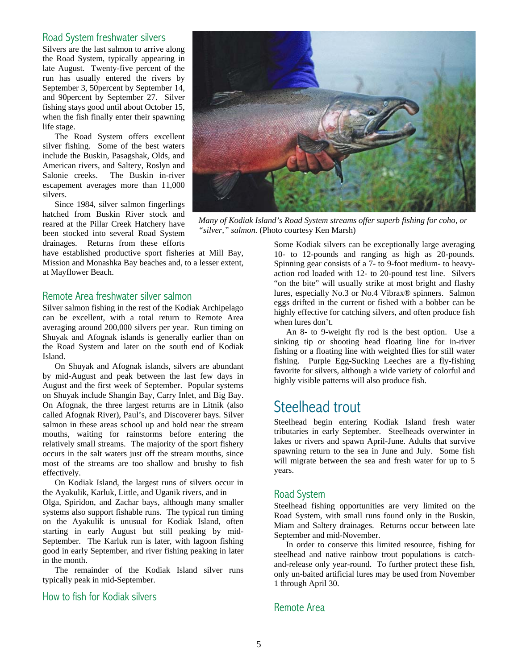#### Road System freshwater silvers

Silvers are the last salmon to arrive along the Road System, typically appearing in late August. Twenty-five percent of the run has usually entered the rivers by September 3, 50percent by September 14, and 90percent by September 27. Silver fishing stays good until about October 15, when the fish finally enter their spawning life stage.

The Road System offers excellent silver fishing. Some of the best waters include the Buskin, Pasagshak, Olds, and American rivers, and Saltery, Roslyn and Salonie creeks. The Buskin in-river escapement averages more than 11,000 silvers.

Since 1984, silver salmon fingerlings hatched from Buskin River stock and reared at the Pillar Creek Hatchery have been stocked into several Road System drainages. Returns from these efforts

have established productive sport fisheries at Mill Bay, Mission and Monashka Bay beaches and, to a lesser extent, at Mayflower Beach.

#### Remote Area freshwater silver salmon

Silver salmon fishing in the rest of the Kodiak Archipelago can be excellent, with a total return to Remote Area averaging around 200,000 silvers per year. Run timing on Shuyak and Afognak islands is generally earlier than on the Road System and later on the south end of Kodiak Island.

On Shuyak and Afognak islands, silvers are abundant by mid-August and peak between the last few days in August and the first week of September. Popular systems on Shuyak include Shangin Bay, Carry Inlet, and Big Bay. On Afognak, the three largest returns are in Litnik (also called Afognak River), Paul's, and Discoverer bays. Silver salmon in these areas school up and hold near the stream mouths, waiting for rainstorms before entering the relatively small streams. The majority of the sport fishery occurs in the salt waters just off the stream mouths, since most of the streams are too shallow and brushy to fish effectively.

On Kodiak Island, the largest runs of silvers occur in the Ayakulik, Karluk, Little, and Uganik rivers, and in

Olga, Spiridon, and Zachar bays, although many smaller systems also support fishable runs. The typical run timing on the Ayakulik is unusual for Kodiak Island, often starting in early August but still peaking by mid-September. The Karluk run is later, with lagoon fishing good in early September, and river fishing peaking in later in the month.

The remainder of the Kodiak Island silver runs typically peak in mid-September.

## How to fish for Kodiak silvers



*Many of Kodiak Island's Road System streams offer superb fishing for coho, or "silver," salmon.* (Photo courtesy Ken Marsh)

Some Kodiak silvers can be exceptionally large averaging 10- to 12-pounds and ranging as high as 20-pounds. Spinning gear consists of a 7- to 9-foot medium- to heavyaction rod loaded with 12- to 20-pound test line. Silvers "on the bite" will usually strike at most bright and flashy lures, especially No.3 or No.4 Vibrax® spinners. Salmon eggs drifted in the current or fished with a bobber can be highly effective for catching silvers, and often produce fish when lures don't.

An 8- to 9-weight fly rod is the best option. Use a sinking tip or shooting head floating line for in-river fishing or a floating line with weighted flies for still water fishing. Purple Egg-Sucking Leeches are a fly-fishing favorite for silvers, although a wide variety of colorful and highly visible patterns will also produce fish.

## Steelhead trout

Steelhead begin entering Kodiak Island fresh water tributaries in early September. Steelheads overwinter in lakes or rivers and spawn April-June. Adults that survive spawning return to the sea in June and July. Some fish will migrate between the sea and fresh water for up to 5 years.

## Road System

Steelhead fishing opportunities are very limited on the Road System, with small runs found only in the Buskin, Miam and Saltery drainages. Returns occur between late September and mid-November.

In order to conserve this limited resource, fishing for steelhead and native rainbow trout populations is catchand-release only year-round. To further protect these fish, only un-baited artificial lures may be used from November 1 through April 30.

#### Remote Area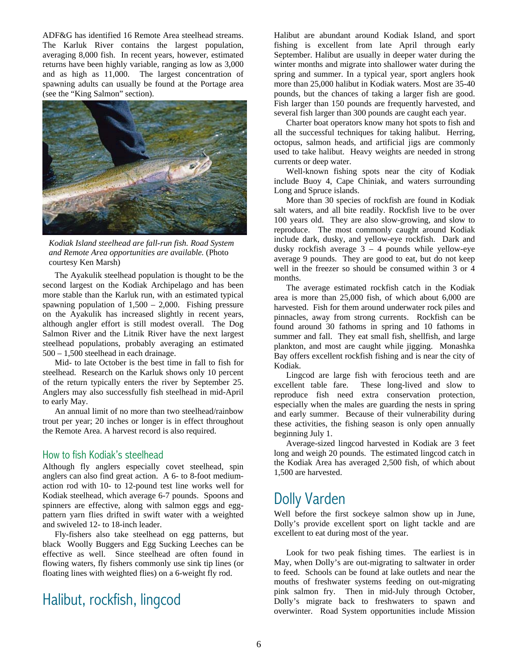ADF&G has identified 16 Remote Area steelhead streams. The Karluk River contains the largest population, averaging 8,000 fish. In recent years, however, estimated returns have been highly variable, ranging as low as 3,000 and as high as 11,000. The largest concentration of spawning adults can usually be found at the Portage area (see the "King Salmon" section).



*Kodiak Island steelhead are fall-run fish. Road System and Remote Area opportunities are available.* (Photo courtesy Ken Marsh)

The Ayakulik steelhead population is thought to be the second largest on the Kodiak Archipelago and has been more stable than the Karluk run, with an estimated typical spawning population of  $1,500 - 2,000$ . Fishing pressure on the Ayakulik has increased slightly in recent years, although angler effort is still modest overall. The Dog Salmon River and the Litnik River have the next largest steelhead populations, probably averaging an estimated 500 – 1,500 steelhead in each drainage.

Mid- to late October is the best time in fall to fish for steelhead. Research on the Karluk shows only 10 percent of the return typically enters the river by September 25. Anglers may also successfully fish steelhead in mid-April to early May.

An annual limit of no more than two steelhead/rainbow trout per year; 20 inches or longer is in effect throughout the Remote Area. A harvest record is also required.

#### How to fish Kodiak's steelhead

Although fly anglers especially covet steelhead, spin anglers can also find great action. A 6- to 8-foot mediumaction rod with 10- to 12-pound test line works well for Kodiak steelhead, which average 6-7 pounds. Spoons and spinners are effective, along with salmon eggs and eggpattern yarn flies drifted in swift water with a weighted and swiveled 12- to 18-inch leader.

Fly-fishers also take steelhead on egg patterns, but black Woolly Buggers and Egg Sucking Leeches can be effective as well. Since steelhead are often found in flowing waters, fly fishers commonly use sink tip lines (or floating lines with weighted flies) on a 6-weight fly rod.

## Halibut, rockfish, lingcod

Halibut are abundant around Kodiak Island, and sport fishing is excellent from late April through early September. Halibut are usually in deeper water during the winter months and migrate into shallower water during the spring and summer. In a typical year, sport anglers hook more than 25,000 halibut in Kodiak waters. Most are 35-40 pounds, but the chances of taking a larger fish are good. Fish larger than 150 pounds are frequently harvested, and several fish larger than 300 pounds are caught each year.

Charter boat operators know many hot spots to fish and all the successful techniques for taking halibut. Herring, octopus, salmon heads, and artificial jigs are commonly used to take halibut. Heavy weights are needed in strong currents or deep water.

Well-known fishing spots near the city of Kodiak include Buoy 4, Cape Chiniak, and waters surrounding Long and Spruce islands.

More than 30 species of rockfish are found in Kodiak salt waters, and all bite readily. Rockfish live to be over 100 years old. They are also slow-growing, and slow to reproduce. The most commonly caught around Kodiak include dark, dusky, and yellow-eye rockfish. Dark and dusky rockfish average  $3 - 4$  pounds while yellow-eye average 9 pounds. They are good to eat, but do not keep well in the freezer so should be consumed within 3 or 4 months.

The average estimated rockfish catch in the Kodiak area is more than 25,000 fish, of which about 6,000 are harvested. Fish for them around underwater rock piles and pinnacles, away from strong currents. Rockfish can be found around 30 fathoms in spring and 10 fathoms in summer and fall. They eat small fish, shellfish, and large plankton, and most are caught while jigging. Monashka Bay offers excellent rockfish fishing and is near the city of Kodiak.

Lingcod are large fish with ferocious teeth and are excellent table fare. These long-lived and slow to reproduce fish need extra conservation protection, especially when the males are guarding the nests in spring and early summer. Because of their vulnerability during these activities, the fishing season is only open annually beginning July 1.

Average-sized lingcod harvested in Kodiak are 3 feet long and weigh 20 pounds. The estimated lingcod catch in the Kodiak Area has averaged 2,500 fish, of which about 1,500 are harvested.

# Dolly Varden

Well before the first sockeye salmon show up in June, Dolly's provide excellent sport on light tackle and are excellent to eat during most of the year.

Look for two peak fishing times. The earliest is in May, when Dolly's are out-migrating to saltwater in order to feed. Schools can be found at lake outlets and near the mouths of freshwater systems feeding on out-migrating pink salmon fry. Then in mid-July through October, Dolly's migrate back to freshwaters to spawn and overwinter. Road System opportunities include Mission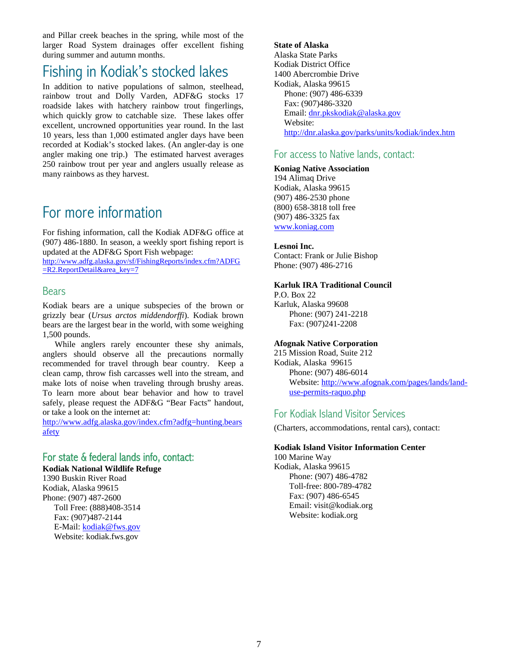and Pillar creek beaches in the spring, while most of the larger Road System drainages offer excellent fishing during summer and autumn months.

# Fishing in Kodiak's stocked lakes

In addition to native populations of salmon, steelhead, rainbow trout and Dolly Varden, ADF&G stocks 17 roadside lakes with hatchery rainbow trout fingerlings, which quickly grow to catchable size. These lakes offer excellent, uncrowned opportunities year round. In the last 10 years, less than 1,000 estimated angler days have been recorded at Kodiak's stocked lakes. (An angler-day is one angler making one trip.) The estimated harvest averages 250 rainbow trout per year and anglers usually release as many rainbows as they harvest.

# For more information

For fishing information, call the Kodiak ADF&G office at (907) 486-1880. In season, a weekly sport fishing report is updated at the ADF&G Sport Fish webpage:

http://www.adfg.alaska.gov/sf/FishingReports/index.cfm?ADFG =R2.ReportDetail&area\_key=7

## **Bears**

Kodiak bears are a unique subspecies of the brown or grizzly bear (*Ursus arctos middendorffi*). Kodiak brown bears are the largest bear in the world, with some weighing 1,500 pounds.

While anglers rarely encounter these shy animals, anglers should observe all the precautions normally recommended for travel through bear country. Keep a clean camp, throw fish carcasses well into the stream, and make lots of noise when traveling through brushy areas. To learn more about bear behavior and how to travel safely, please request the ADF&G "Bear Facts" handout, or take a look on the internet at:<br>http://www.adfg.alaska.gov/index.cfm?adfg=hunting.bears

afety

## For state & federal lands info, contact:

**Kodiak National Wildlife Refuge**

1390 Buskin River Road Kodiak, Alaska 99615 Phone: (907) 487-2600 Toll Free: (888)408-3514 Fax: (907)487-2144 E-Mail: kodiak@fws.gov Website: kodiak.fws.gov

**State of Alaska** Alaska State Parks Kodiak District Office 1400 Abercrombie Drive Kodiak, Alaska 99615 Phone: (907) 486-6339 Fax: (907)486-3320 Email: dnr.pkskodiak@alaska.gov Website: http://dnr.alaska.gov/parks/units/kodiak/index.htm

## For access to Native lands, contact:

#### **Koniag Native Association**

194 Alimaq Drive Kodiak, Alaska 99615 (907) 486-2530 phone (800) 658-3818 toll free (907) 486-3325 fax www.koniag.com

#### **Lesnoi Inc.**

Contact: Frank or Julie Bishop Phone: (907) 486-2716

#### **Karluk IRA Traditional Council**

P.O. Box 22 Karluk, Alaska 99608 Phone: (907) 241-2218 Fax: (907)241-2208

#### **Afognak Native Corporation**

215 Mission Road, Suite 212 Kodiak, Alaska 99615 Phone: (907) 486-6014 Website: http://www.afognak.com/pages/lands/landuse-permits-raquo.php

## For Kodiak Island Visitor Services

(Charters, accommodations, rental cars), contact:

#### **Kodiak Island Visitor Information Center**

100 Marine Way Kodiak, Alaska 99615 Phone: (907) 486-4782 Toll-free: 800-789-4782 Fax: (907) 486-6545 Email: visit@kodiak.org Website: kodiak.org